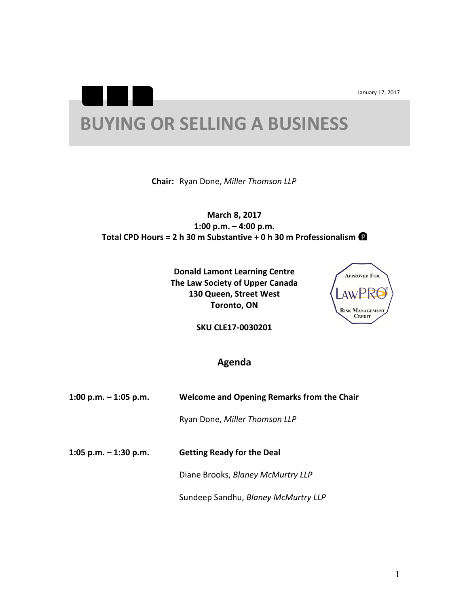January 17, 2017

## **BUYING OR SELLING A BUSINESS**

**Chair:** Ryan Done, *Miller Thomson LLP*

**March 8, 2017 1:00 p.m. – 4:00 p.m. Total CPD Hours = 2 h 30 m Substantive + 0 h 30 m Professionalism**

> **Donald Lamont Learning Centre The Law Society of Upper Canada 130 Queen, Street West Toronto, ON**



**SKU CLE17-0030201**

## **Agenda**

| 1:00 p.m. $-$ 1:05 p.m. | <b>Welcome and Opening Remarks from the Chair</b> |
|-------------------------|---------------------------------------------------|
|                         | Ryan Done, Miller Thomson LLP                     |
| 1:05 p.m. $-$ 1:30 p.m. | <b>Getting Ready for the Deal</b>                 |
|                         | Diane Brooks, Blaney McMurtry LLP                 |
|                         | Sundeep Sandhu, Blaney McMurtry LLP               |
|                         |                                                   |